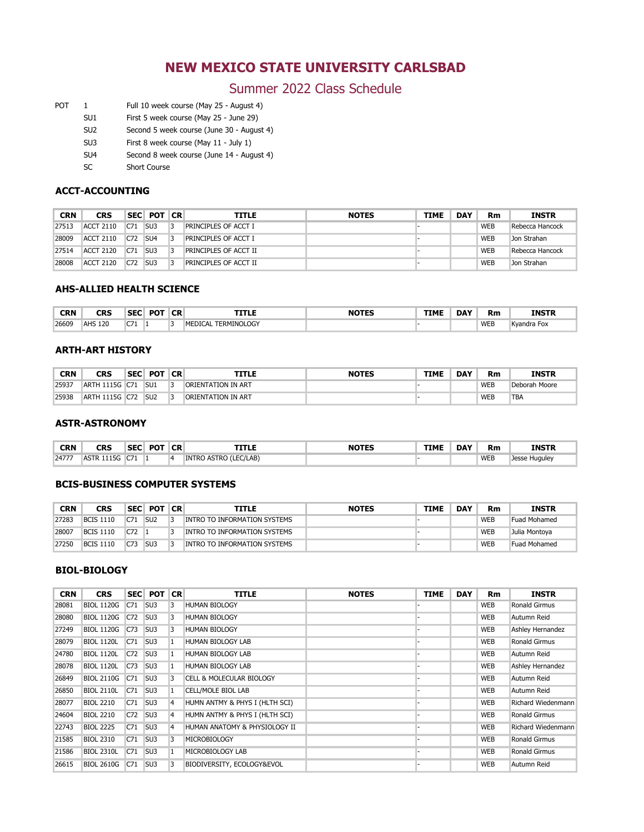# **SUMMER 2022 CLASS SCHEDULE**

Start Here, Go Anywhere! **carlsbad.nmsu.edu (575) 234-9200**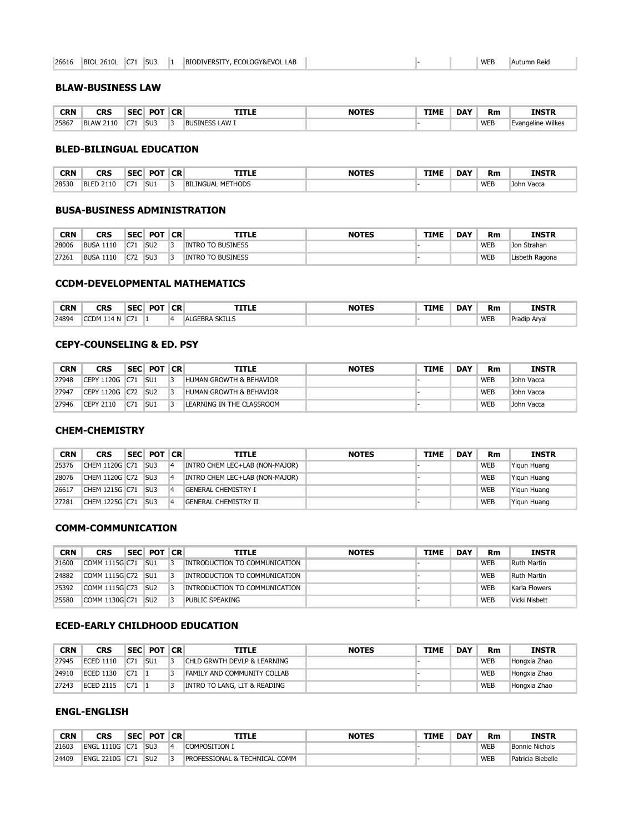## **NEW MEXICO STATE UNIVERSITY CARLSBAD**

### Summer 2022 Class Schedule

- POT 1 Full 10 week course (May 25 August 4)
	- SU1 First 5 week course (May 25 June 29)
	- SU2 Second 5 week course (June 30 August 4)
	- SU3 First 8 week course (May 11 July 1)
	- SU4 Second 8 week course (June 14 August 4)
	- SC Short Course

#### **ACCT-ACCOUNTING**

| CRN   | CRS              |                 | SEC POT         | <b>CR</b> | TITLE                 | <b>NOTES</b> | <b>TIME</b> | <b>DAY</b> | Rm         | <b>INSTR</b>    |
|-------|------------------|-----------------|-----------------|-----------|-----------------------|--------------|-------------|------------|------------|-----------------|
| 27513 | <b>ACCT 2110</b> | C71             | SU <sub>3</sub> |           | PRINCIPLES OF ACCT I  |              |             |            | <b>WEB</b> | Rebecca Hancock |
| 28009 | <b>ACCT 2110</b> | C72             | SU <sub>4</sub> |           | PRINCIPLES OF ACCT I  |              |             |            | <b>WEB</b> | Jon Strahan     |
| 27514 | <b>ACCT 2120</b> | C71             | SU <sub>3</sub> |           | PRINCIPLES OF ACCT II |              |             |            | <b>WEB</b> | Rebecca Hancock |
| 28008 | <b>ACCT 2120</b> | C <sub>72</sub> | SU <sub>3</sub> |           | PRINCIPLES OF ACCT II |              |             |            | <b>WEB</b> | Jon Strahan     |

#### **AHS-ALLIED HEALTH SCIENCE**

| <b>CRN</b> | CRS               | <b>SEC</b>       | <b>DOT</b> | <b>CR</b> | <b>TITLE</b>                   | <b>NOTES</b> | <b>TIME</b> | <b>DAY</b> | Rm         | <b>INSTR</b> |
|------------|-------------------|------------------|------------|-----------|--------------------------------|--------------|-------------|------------|------------|--------------|
| 26609      | <b>AHC</b><br>120 | $\sim$<br>$\sim$ |            |           | LERMINOLOGY<br>MF<br>ገፐር<br>ு∆ |              |             |            | <b>WEB</b> | Kyandra Fox  |

#### **ARTH-ART HISTORY**

| CRN   | CRS                      | <b>SEC</b> | <b>POT</b>      | <b>CR</b> | TITLE              | <b>NOTES</b> | <b>TIME</b> | <b>DAY</b> | Rm         | <b>INSTR</b>  |
|-------|--------------------------|------------|-----------------|-----------|--------------------|--------------|-------------|------------|------------|---------------|
| 25937 | 1115G C71<br><b>ARTH</b> |            | SU <sub>1</sub> |           | ORIENTATION IN ART |              |             |            | <b>WEB</b> | Deborah Moore |
| 25938 | 1115G<br><b>ARTH</b>     | C72        | SU <sub>2</sub> |           | ORIENTATION IN ART |              |             |            | <b>WEB</b> | TBA           |

#### **ASTR-ASTRONOMY**

| <b>CRN</b> | CRS<br>__                         | SEC         | <b>POT</b> | <b>CR</b> | TITLE                 | <b>TIME</b> | <b>DAY</b> | Rm         | <b>INSTR</b>     |
|------------|-----------------------------------|-------------|------------|-----------|-----------------------|-------------|------------|------------|------------------|
| 24777      | 15G<br>$\Lambda$ C $=$<br>.<br>שו | $\sim$<br>. |            |           | INTRO ASTRO (LEC/LAB) |             |            | <b>WEB</b> | Jesse<br>Huguley |

#### **BCIS-BUSINESS COMPUTER SYSTEMS**

| CRN   | CRS              | <b>SEC</b> | POT             | <b>CR</b> | TITLE                        | <b>NOTES</b> | <b>TIME</b> | <b>DAY</b> | Rm         | <b>INSTR</b>        |
|-------|------------------|------------|-----------------|-----------|------------------------------|--------------|-------------|------------|------------|---------------------|
| 27283 | <b>BCIS 1110</b> | <b>CZ1</b> | SU <sub>2</sub> |           | INTRO TO INFORMATION SYSTEMS |              |             |            | <b>WEB</b> | <b>Fuad Mohamed</b> |
| 28007 | <b>BCIS 1110</b> | C72        |                 |           | INTRO TO INFORMATION SYSTEMS |              |             |            | <b>WEB</b> | Julia Montoya       |
| 27250 | <b>BCIS 1110</b> | C73        | SU <sub>3</sub> |           | INTRO TO INFORMATION SYSTEMS |              |             |            | <b>WEB</b> | <b>Fuad Mohamed</b> |

#### **BIOL-BIOLOGY**

| <b>CRN</b> | <b>CRS</b>        |     | SEC POT         | <b>CR</b> | <b>TITLE</b>                        | <b>NOTES</b> | <b>TIME</b> | <b>DAY</b> | <b>Rm</b>  | <b>INSTR</b>       |
|------------|-------------------|-----|-----------------|-----------|-------------------------------------|--------------|-------------|------------|------------|--------------------|
| 28081      | <b>BIOL 1120G</b> | C71 | SU <sub>3</sub> | 3         | <b>HUMAN BIOLOGY</b>                |              |             |            | <b>WEB</b> | Ronald Girmus      |
| 28080      | <b>BIOL 1120G</b> | C72 | SU <sub>3</sub> | 3         | <b>HUMAN BIOLOGY</b>                |              |             |            | <b>WEB</b> | Autumn Reid        |
| 27249      | <b>BIOL 1120G</b> | C73 | SU <sub>3</sub> | 3         | <b>HUMAN BIOLOGY</b>                |              |             |            | <b>WEB</b> | Ashley Hernandez   |
| 28079      | <b>BIOL 1120L</b> | C71 | SU <sub>3</sub> | 1         | <b>HUMAN BIOLOGY LAB</b>            |              |             |            | <b>WEB</b> | Ronald Girmus      |
| 24780      | <b>BIOL 1120L</b> | C72 | SU <sub>3</sub> | 1         | <b>HUMAN BIOLOGY LAB</b>            |              |             |            | <b>WEB</b> | Autumn Reid        |
| 28078      | <b>BIOL 1120L</b> | C73 | SU <sub>3</sub> | 1         | <b>HUMAN BIOLOGY LAB</b>            |              |             |            | <b>WEB</b> | Ashley Hernandez   |
| 26849      | <b>BIOL 2110G</b> | C71 | SU <sub>3</sub> | 3         | <b>CELL &amp; MOLECULAR BIOLOGY</b> |              |             |            | <b>WEB</b> | Autumn Reid        |
| 26850      | <b>BIOL 2110L</b> | C71 | SU <sub>3</sub> | 1         | CELL/MOLE BIOL LAB                  |              |             |            | <b>WEB</b> | Autumn Reid        |
| 28077      | <b>BIOL 2210</b>  | C71 | SU <sub>3</sub> | 4         | HUMN ANTMY & PHYS I (HLTH SCI)      |              |             |            | <b>WEB</b> | Richard Wiedenmann |
| 24604      | <b>BIOL 2210</b>  | C72 | SU <sub>3</sub> | 4         | HUMN ANTMY & PHYS I (HLTH SCI)      |              |             |            | <b>WEB</b> | Ronald Girmus      |
| 22743      | <b>BIOL 2225</b>  | C71 | SU <sub>3</sub> | 4         | HUMAN ANATOMY & PHYSIOLOGY II       |              |             |            | <b>WEB</b> | Richard Wiedenmann |
| 21585      | <b>BIOL 2310</b>  | C71 | SU <sub>3</sub> | 3         | MICROBIOLOGY                        |              |             |            | <b>WEB</b> | Ronald Girmus      |
| 21586      | <b>BIOL 2310L</b> | C71 | SU <sub>3</sub> | 1         | MICROBIOLOGY LAB                    |              |             |            | <b>WEB</b> | Ronald Girmus      |
| 26615      | <b>BIOL 2610G</b> | C71 | SU <sub>3</sub> | 3         | BIODIVERSITY, ECOLOGY&EVOL          |              |             |            | <b>WEB</b> | Autumn Reid        |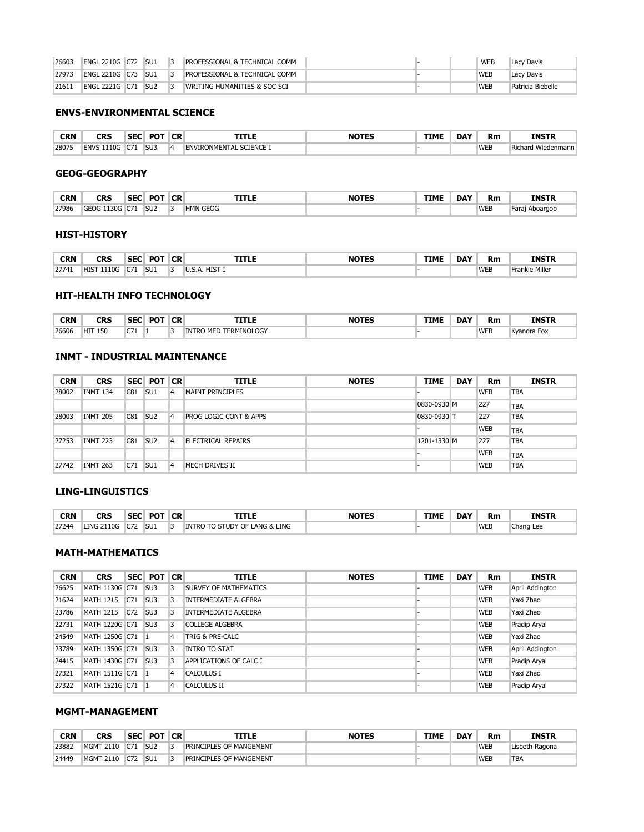| 26616<br>. | <b>BIOL</b><br>26101 | $-$<br>$\sim$ | SU3 |  | BIODIVERSITY, ECOLOGY&EVOL LAB |  |  | <b>WEE</b> | "Autumn Reig |
|------------|----------------------|---------------|-----|--|--------------------------------|--|--|------------|--------------|
|------------|----------------------|---------------|-----|--|--------------------------------|--|--|------------|--------------|

#### **BLAW-BUSINESS LAW**

| <b>CRN</b> | CRS              | <b>SEC</b> | <b>POT</b>      | <b>CR</b> | TTLE                  | <b>NOTES</b> | <b>TIME</b> | <b>DAY</b> | <b>Rm</b>  | <b>INSTR</b>             |
|------------|------------------|------------|-----------------|-----------|-----------------------|--------------|-------------|------------|------------|--------------------------|
| 25867      | <b>BLAW 2110</b> | $\sim$     | SU <sub>3</sub> |           | <b>BUSINESS LAW I</b> |              |             |            | <b>WEB</b> | <b>Evangeline Wilkes</b> |

#### **BLED-BILINGUAL EDUCATION**

| <b>CRN</b><br>$\sim$ $\sim$ $\sim$ $\sim$ $\sim$ $\sim$ $\sim$ | CRS                  | <b>SEC</b><br>__   | <b>POT</b>      | <b>CR</b> | TITLE                                      | <b>NOTES</b> | <b>TIME</b> | <b>DAY</b> | Rm  | INSTR                      |
|----------------------------------------------------------------|----------------------|--------------------|-----------------|-----------|--------------------------------------------|--------------|-------------|------------|-----|----------------------------|
| 28530                                                          | <b>BI ED</b><br>2110 | $\sim$<br>$\cdots$ | SU <sub>1</sub> |           | METHODS<br><b>BIL</b><br>_INGUAL<br>AL ME. |              |             |            | WEB | John<br><sup>.</sup> Vacca |

#### **BUSA-BUSINESS ADMINISTRATION**

| CRN   | CRS                 | <b>SEC</b> | <b>POT</b>      | <b>CR</b> | <b>TITLE</b>                | NOTES | <b>TIME</b> | <b>DAY</b> | <b>Rm</b>  | <b>INSTR</b>   |
|-------|---------------------|------------|-----------------|-----------|-----------------------------|-------|-------------|------------|------------|----------------|
| 28006 | 1110<br><b>BUSA</b> | C71        | SU <sub>2</sub> |           | <b>INTRO TO BUSINESS</b>    |       |             |            | <b>WEB</b> | Jon Strahan    |
| 27261 | 1110<br><b>BUSA</b> | C72        | SU <sub>3</sub> |           | TO BUSINESS<br><b>INTRO</b> |       |             |            | <b>WEB</b> | Lisbeth Ragona |

#### **CCDM-DEVELOPMENTAL MATHEMATICS**

| <b>CRN</b> | <b>CRS</b>      | <b>SEC</b>        | <b>POT</b> | <b>CR</b> | TITLE                 | <b>NOTES</b> | <b>TIME</b> | <b>DAY</b> | Rm         | <b>INSTR</b>        |
|------------|-----------------|-------------------|------------|-----------|-----------------------|--------------|-------------|------------|------------|---------------------|
| 24894      | CCDM 114 N<br>. | $- - -$<br>$\sim$ |            |           | <b>ALGEBRA SKILLS</b> |              |             |            | <b>WEB</b> | <b>Pradip Arval</b> |

#### **CEPY-COUNSELING & ED. PSY**

| <b>CRN</b> | CRS              | <b>SEC</b> | POT             | <b>CR</b> | TITLE                     | <b>NOTES</b> | <b>TIME</b> | <b>DAY</b> | Rm         | <b>INSTR</b> |
|------------|------------------|------------|-----------------|-----------|---------------------------|--------------|-------------|------------|------------|--------------|
| 27948      | CEPY 1120G C71   |            | SU <sub>1</sub> |           | HUMAN GROWTH & BEHAVIOR   |              |             |            | <b>WEB</b> | John Vacca   |
| 27947      | CEPY 1120G C72   |            | SU <sub>2</sub> |           | HUMAN GROWTH & BEHAVIOR   |              |             |            | <b>WEB</b> | John Vacca   |
| 27946      | <b>CEPY 2110</b> | C71        | SU <sub>1</sub> |           | LEARNING IN THE CLASSROOM |              |             |            | <b>WEB</b> | John Vacca   |

#### **CHEM-CHEMISTRY**

| <b>CRN</b> | <b>CRS</b>            | <b>SEC POT</b>  | <b>CR</b>      | <b>TITLE</b>                   | <b>NOTES</b> | <b>TIME</b> | <b>DAY</b> | Rm         | <b>INSTR</b> |
|------------|-----------------------|-----------------|----------------|--------------------------------|--------------|-------------|------------|------------|--------------|
| 25376      | CHEM 1120G C71        | SU <sub>3</sub> | 4              | INTRO CHEM LEC+LAB (NON-MAJOR) |              |             |            | <b>WEB</b> | Yigun Huang  |
| 28076      | <b>CHEM 1120G C72</b> | SU <sub>3</sub> | $\overline{4}$ | INTRO CHEM LEC+LAB (NON-MAJOR) |              |             |            | <b>WEB</b> | Yigun Huang  |
| 26617      | CHEM 1215G C71        | SU <sub>3</sub> | $\overline{a}$ | <b>GENERAL CHEMISTRY I</b>     |              |             |            | <b>WEB</b> | Yigun Huang  |
| 27281      | CHEM 1225G C71        | SU <sub>3</sub> | $\overline{a}$ | <b>GENERAL CHEMISTRY II</b>    |              |             |            | <b>WEB</b> | Yigun Huang  |

#### **COMM-COMMUNICATION**

| CRN   | CRS            | SEC POT         | <b>CR</b> | TITLE                         | <b>NOTES</b> | <b>TIME</b> | <b>DAY</b> | Rm         | <b>INSTR</b>       |
|-------|----------------|-----------------|-----------|-------------------------------|--------------|-------------|------------|------------|--------------------|
| 21600 | COMM 1115G C71 | SU <sub>1</sub> | 3         | INTRODUCTION TO COMMUNICATION |              |             |            | <b>WEB</b> | <b>Ruth Martin</b> |
| 24882 | COMM 1115G C72 | SU <sub>1</sub> | 3         | INTRODUCTION TO COMMUNICATION |              |             |            | <b>WEB</b> | Ruth Martin        |
| 25392 | COMM 1115G C73 | SU <sub>2</sub> |           | INTRODUCTION TO COMMUNICATION |              |             |            | <b>WEB</b> | Karla Flowers      |
| 25580 | COMM 1130G C71 | SU <sub>2</sub> |           | PUBLIC SPEAKING               |              |             |            | <b>WEB</b> | Vicki Nisbett      |

#### **ECED-EARLY CHILDHOOD EDUCATION**

| CRN   | CRS              |     | SEC POT         | <b>CR</b> | TITLE                                  | <b>NOTES</b> | TIME | <b>DAY</b> | Rm         | <b>INSTR</b> |
|-------|------------------|-----|-----------------|-----------|----------------------------------------|--------------|------|------------|------------|--------------|
| 27945 | <b>ECED 1110</b> | C71 | SU <sub>1</sub> |           | <b>CHLD GRWTH DEVLP &amp; LEARNING</b> |              |      |            | <b>WEB</b> | Hongxia Zhao |
| 24910 | <b>ECED 1130</b> | C71 |                 |           | <b>FAMILY AND COMMUNITY COLLAB</b>     |              |      |            | <b>WEB</b> | Hongxia Zhao |
| 27243 | <b>ECED 2115</b> | C71 |                 |           | INTRO TO LANG, LIT & READING           |              |      |            | <b>WEB</b> | Hongxia Zhao |

#### **ENGL-ENGLISH**

| <b>CRN</b> | CRS                  | <b>SEC</b> | <b>POT</b>      | <b>CR</b> | <b>TITLE</b>                                  | <b>NOTES</b> | <b>TIME</b> | <b>DAY</b> | Rm         | <b>INSTR</b>          |
|------------|----------------------|------------|-----------------|-----------|-----------------------------------------------|--------------|-------------|------------|------------|-----------------------|
| 21603      | 1110G<br><b>ENGL</b> | C7         | SU <sub>3</sub> | A         | <b>COMPOSITION I</b>                          |              |             |            | <b>WEB</b> | <b>Bonnie Nichols</b> |
| 24409      | <b>ENGL 2210G</b>    | $-7.$      | SU <sub>2</sub> |           | COMM<br><b>PROFESSIONAL &amp; TECHNICAL (</b> |              |             |            | <b>WEB</b> | Patricia Biebelle     |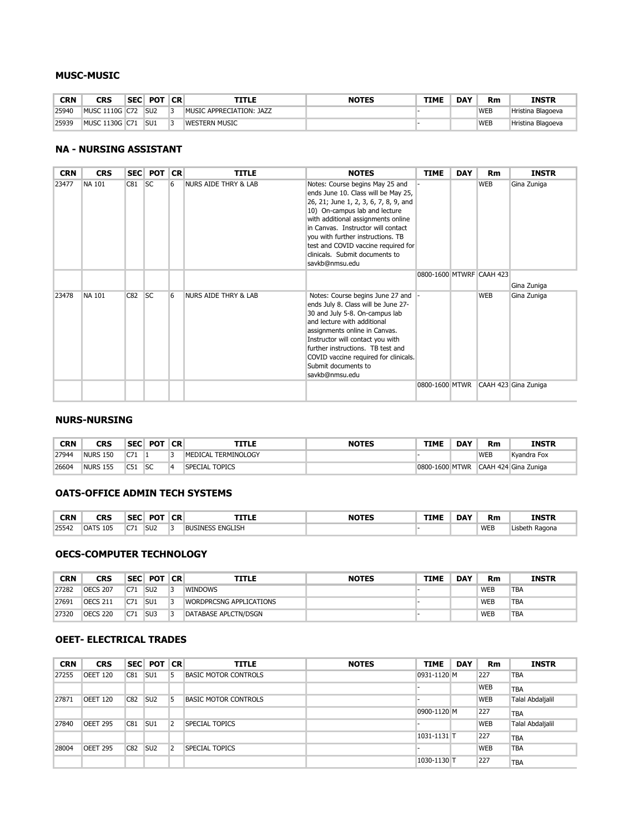| 26603 | <b>ENGL 2210G C72</b>    | SU <sub>1</sub> | PROFESSIONAL & TECHNICAL COMM            |  | <b>WEB</b> | Lacy Davis        |
|-------|--------------------------|-----------------|------------------------------------------|--|------------|-------------------|
| 27973 | <b>ENGL 2210G C73</b>    | SU <sub>1</sub> | <b>PROFESSIONAL &amp; TECHNICAL COMM</b> |  | WEB        | Lacy Davis        |
| 21611 | C71<br><b>ENGL 2221G</b> | SU <sub>2</sub> | WRITING HUMANITIES & SOC SCI             |  | WEB        | Patricia Biebelle |

#### **ENVS-ENVIRONMENTAL SCIENCE**

| <b>CRN</b> | rdc<br>◡◚             | <b>SEC</b> | <b>POT</b>      | <b>CR</b> |                                   | <b>NOTES</b> | <b>TIME</b> | <b>DAY</b> | Rm         | <b>INSTR</b>           |
|------------|-----------------------|------------|-----------------|-----------|-----------------------------------|--------------|-------------|------------|------------|------------------------|
| 28075      | 110G<br><b>FNVS 1</b> | $- -$      | SU <sub>3</sub> |           | <b>SCIENCE I</b><br>ENVIRONMENTAL |              |             |            | <b>WEB</b> | I Wiedenmann<br>Richar |

#### **GEOG-GEOGRAPHY**

| <b>CRN</b> | <b>CRS</b>              | <b>SEC</b>  | <b>POT</b>      | <b>CR</b> | TITLE           | <b>NOTES</b> | <b>TIME</b> | <b>DAY</b> | Rm         | <b>INSTR</b>   |
|------------|-------------------------|-------------|-----------------|-----------|-----------------|--------------|-------------|------------|------------|----------------|
| 27986      | $1130G+$<br><b>GEOG</b> | $\sim$<br>. | SU <sub>2</sub> |           | <b>HMN GEOG</b> |              |             |            | <b>WEB</b> | Faraj Aboargob |

#### **HIST-HISTORY**

| <b>CRN</b> | rdc<br>urs                | <b>SEC</b> | <b>DOT</b> | <b>CR</b> | TITLE                    | $ - - -$ | TIMI | <b>DAY</b> | <b>Rm</b>  | <b>INSTR</b>      |
|------------|---------------------------|------------|------------|-----------|--------------------------|----------|------|------------|------------|-------------------|
| 27741      | 1110G<br>HIS <sup>-</sup> | $- -$      | SU:        |           | HIST<br>A<br><b>U.J.</b> |          |      |            | <b>WEB</b> | Miller<br>Frankie |

#### **HIT-HEALTH INFO TECHNOLOGY**

| <b>CRN</b><br>$\sim$ $\sim$ | CRS        | <b>SEC</b><br>__ | <b>POT</b> | <b>CR</b> | ГLІ                             | ----- | TIMI | <b>DAY</b> | <b>Rm</b>  | <b>INSTR</b>     |
|-----------------------------|------------|------------------|------------|-----------|---------------------------------|-------|------|------------|------------|------------------|
| 26606                       | 150<br>HIJ | $\sim$<br>ິ      |            |           | <b>ERMINOLOGY</b><br>IN"<br>MEI |       |      |            | <b>WEB</b> | Fox<br>Kvandra . |

#### **INMT - INDUSTRIAL MAINTENANCE**

| <b>CRN</b> | <b>CRS</b>      | <b>SEC</b> | <b>POT</b>      | <b>CR</b> | <b>TITLE</b>                      | <b>NOTES</b> | <b>TIME</b> | <b>DAY</b> | Rm         | <b>INSTR</b> |
|------------|-----------------|------------|-----------------|-----------|-----------------------------------|--------------|-------------|------------|------------|--------------|
| 28002      | <b>INMT 134</b> | C81        | SU <sub>1</sub> | 14        | <b>MAINT PRINCIPLES</b>           |              |             |            | <b>WEB</b> | <b>TBA</b>   |
|            |                 |            |                 |           |                                   |              | 0830-0930 M |            | 227        | <b>TBA</b>   |
| 28003      | <b>INMT 205</b> | C81        | SU <sub>2</sub> | 14        | <b>PROG LOGIC CONT &amp; APPS</b> |              | 0830-0930 T |            | 227        | TBA          |
|            |                 |            |                 |           |                                   |              |             |            | <b>WEB</b> | <b>TBA</b>   |
| 27253      | <b>INMT 223</b> | C81        | SU <sub>2</sub> | 4         | ELECTRICAL REPAIRS                |              | 1201-1330 M |            | 227        | <b>TBA</b>   |
|            |                 |            |                 |           |                                   |              |             |            | <b>WEB</b> | <b>TBA</b>   |
| 27742      | <b>INMT 263</b> | C71        | SU <sub>1</sub> | 4         | MECH DRIVES II                    |              |             |            | <b>WEB</b> | <b>TBA</b>   |

#### **LING-LINGUISTICS**

| <b>CRN</b> | CRS               | <b>SEC</b> | <b>POT</b>      | <b>CR</b> | TITLE                                                       | <b>NOTES</b><br>______ | <b>TIME</b> | <b>DAY</b> | <b>Rm</b>  | <b>INSTR</b> |
|------------|-------------------|------------|-----------------|-----------|-------------------------------------------------------------|------------------------|-------------|------------|------------|--------------|
| 27244      | <b>LING 2110G</b> | C71        | SU <sub>1</sub> |           | LANG & LING<br><b>OF</b><br>, UDY<br><b>INTRO</b><br>10 S H |                        |             |            | <b>WEB</b> | Chang Lee    |

#### **MATH-MATHEMATICS**

| <b>CRN</b> | <b>CRS</b>       |                 | SEC POT         | <b>CR</b>      | <b>TITLE</b>                | <b>NOTES</b> | <b>TIME</b> | <b>DAY</b> | <b>Rm</b>  | <b>INSTR</b>    |
|------------|------------------|-----------------|-----------------|----------------|-----------------------------|--------------|-------------|------------|------------|-----------------|
| 26625      | MATH 1130G C71   |                 | SU <sub>3</sub> | 3              | SURVEY OF MATHEMATICS       |              |             |            | <b>WEB</b> | April Addington |
| 21624      | <b>MATH 1215</b> | C <sub>71</sub> | SU <sub>3</sub> | 3              | <b>INTERMEDIATE ALGEBRA</b> |              |             |            | <b>WEB</b> | Yaxi Zhao       |
| 23786      | <b>MATH 1215</b> | C72             | SU <sub>3</sub> | 3              | <b>INTERMEDIATE ALGEBRA</b> |              |             |            | <b>WEB</b> | Yaxi Zhao       |
| 22731      | MATH 1220G C71   |                 | SU <sub>3</sub> | 3              | <b>COLLEGE ALGEBRA</b>      |              |             |            | <b>WEB</b> | Pradip Aryal    |
| 24549      | MATH 1250G C71   |                 | - 11            | $\overline{4}$ | TRIG & PRE-CALC             |              |             |            | <b>WEB</b> | Yaxi Zhao       |
| 23789      | MATH 1350G C71   |                 | SU <sub>3</sub> | 3              | <b>INTRO TO STAT</b>        |              |             |            | <b>WEB</b> | April Addington |
| 24415      | MATH 1430G C71   |                 | SU <sub>3</sub> | 3              | APPLICATIONS OF CALC I      |              |             |            | <b>WEB</b> | Pradip Aryal    |
| 27321      | MATH 1511G C71   |                 | - 11            | 4              | <b>CALCULUS I</b>           |              |             |            | <b>WEB</b> | Yaxi Zhao       |
| 27322      | MATH 1521G C71   |                 | $\blacksquare$  | 4              | <b>CALCULUS II</b>          |              |             |            | <b>WEB</b> | Pradip Aryal    |

#### **MGMT-MANAGEMENT**

| CRN   | <b>CRS</b>          | <b>SEC</b> | <b>POT</b>      | <b>CR</b> | TITLE                          | <b>NOTES</b> | <b>TIME</b> | DAY | <b>Rm</b>  | <b>INSTR</b>   |
|-------|---------------------|------------|-----------------|-----------|--------------------------------|--------------|-------------|-----|------------|----------------|
| 23882 | <b>MGMT 2110</b>    | C71        | SU <sub>2</sub> |           | <b>PRINCIPLES OF MANGEMENT</b> |              |             |     | <b>WEB</b> | Lisbeth Ragona |
| 24449 | <b>MGMT</b><br>2110 | C72        | SU <sub>1</sub> |           | <b>PRINCIPLES OF MANGEMENT</b> |              |             |     | <b>WEB</b> | <b>TBA</b>     |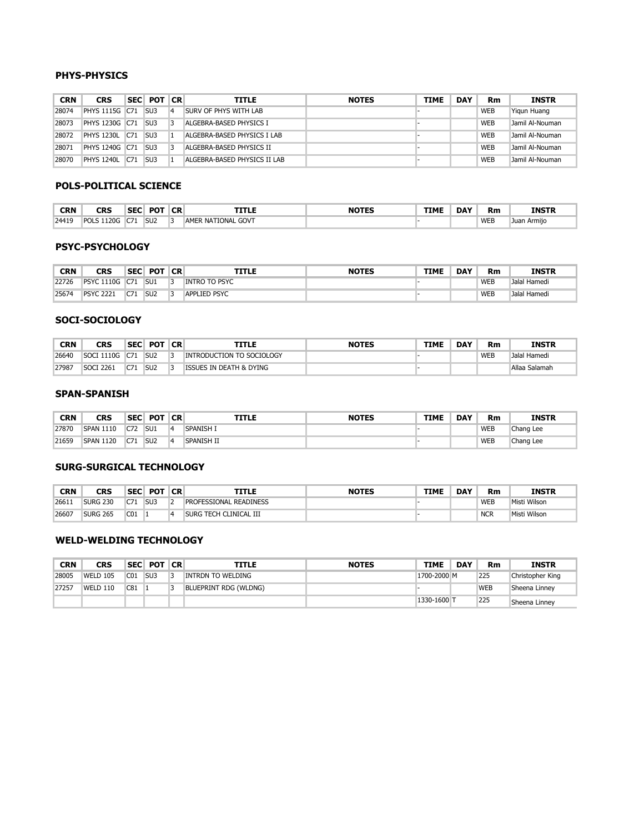#### **MUSC-MUSIC**

| CRN   | CRS                      | <b>SEC</b> | <b>POT</b>      | <b>CR</b> | <b>TITLE</b>             | <b>NOTES</b> | <b>TIME</b> | <b>DAY</b> | Rm         | INSTR             |
|-------|--------------------------|------------|-----------------|-----------|--------------------------|--------------|-------------|------------|------------|-------------------|
| 25940 | 1110G C72<br><b>MUSC</b> |            | SU <sub>2</sub> |           | MUSIC APPRECIATION: JAZZ |              |             |            | WEB        | Hristina Blagoeva |
| 25939 | 1130G C71<br><b>MUSC</b> |            | SU1             |           | <b>WESTERN MUSIC</b>     |              |             |            | <b>WEB</b> | Hristina Blagoeva |

#### **NA - NURSING ASSISTANT**

| <b>CRN</b> | <b>CRS</b>    |     | SEC POT   | <b>CR</b> | <b>TITLE</b>                    | <b>NOTES</b>                                                                                                                                                                                                                                                                                                                                                 | <b>TIME</b>              | <b>DAY</b> | <b>Rm</b>  | <b>INSTR</b>         |
|------------|---------------|-----|-----------|-----------|---------------------------------|--------------------------------------------------------------------------------------------------------------------------------------------------------------------------------------------------------------------------------------------------------------------------------------------------------------------------------------------------------------|--------------------------|------------|------------|----------------------|
| 23477      | <b>NA 101</b> | C81 | <b>SC</b> | 6         | <b>NURS AIDE THRY &amp; LAB</b> | Notes: Course begins May 25 and<br>ends June 10. Class will be May 25,<br>26, 21; June 1, 2, 3, 6, 7, 8, 9, and<br>10) On-campus lab and lecture<br>with additional assignments online<br>in Canvas. Instructor will contact<br>you with further instructions. TB<br>test and COVID vaccine required for<br>clinicals. Submit documents to<br>savkb@nmsu.edu |                          |            | <b>WEB</b> | Gina Zuniga          |
|            |               |     |           |           |                                 |                                                                                                                                                                                                                                                                                                                                                              | 0800-1600 MTWRF CAAH 423 |            |            | Gina Zuniga          |
| 23478      | <b>NA 101</b> | C82 | <b>SC</b> | 6         | <b>NURS AIDE THRY &amp; LAB</b> | Notes: Course begins June 27 and<br>ends July 8. Class will be June 27-<br>30 and July 5-8. On-campus lab<br>and lecture with additional<br>assignments online in Canvas.<br>Instructor will contact you with<br>further instructions. TB test and<br>COVID vaccine required for clinicals.<br>Submit documents to<br>savkb@nmsu.edu                         |                          |            | <b>WEB</b> | Gina Zuniga          |
|            |               |     |           |           |                                 |                                                                                                                                                                                                                                                                                                                                                              | 0800-1600 MTWR           |            |            | CAAH 423 Gina Zuniga |

#### **NURS-NURSING**

| CRN   | CRS             | <b>SEC</b> | <b>POT</b> | <b>CR</b> | <b>TITLE</b>        | <b>NOTES</b> | <b>TIME</b>    | <b>DAY</b> | Rm         | <b>INSTR</b>         |
|-------|-----------------|------------|------------|-----------|---------------------|--------------|----------------|------------|------------|----------------------|
| 27944 | <b>NURS 150</b> | C71<br>ິ້  |            |           | MEDICAL TERMINOLOGY |              |                |            | <b>WEB</b> | Kvandra Fox          |
| 26604 | <b>NURS 155</b> | C51        | SC         |           | SPECIAL TOPICS      |              | 0800-1600 MTWR |            |            | CAAH 424 Gina Zuniga |

#### **OATS-OFFICE ADMIN TECH SYSTEMS**

| <b>CRN</b><br>$\sim$ $\sim$ | <b>CRS</b>      | <b>SEC</b><br>__     | <b>POT</b>      | <b>CR</b> | TITLE                   | <b>NOTE</b> | <b>TIMP</b> | <b>DAY</b> | <b>Rm</b>  | <b>INSTR</b> |
|-----------------------------|-----------------|----------------------|-----------------|-----------|-------------------------|-------------|-------------|------------|------------|--------------|
| 25542                       | <b>OATS 105</b> | <b>CJ.</b><br>$\sim$ | SU <sub>2</sub> |           | <b>BUSINESS ENGLISH</b> |             |             |            | <b>WEB</b> | Ragona       |

#### **OECS-COMPUTER TECHNOLOGY**

| CRN   | CRS             | <b>SEC</b> | <b>POT</b>      | <b>CR</b> | TITLE                          | <b>NOTES</b> | <b>TIME</b> | <b>DAY</b> | Rm         | INSTR      |
|-------|-----------------|------------|-----------------|-----------|--------------------------------|--------------|-------------|------------|------------|------------|
| 27282 | <b>OECS 207</b> | C71        | SU <sub>2</sub> |           | <b>WINDOWS</b>                 |              |             |            | <b>WEB</b> | <b>TBA</b> |
| 27691 | <b>OECS 211</b> | C71        | SU <sub>1</sub> |           | <b>WORDPRCSNG APPLICATIONS</b> |              |             |            | <b>WEB</b> | <b>TBA</b> |
| 27320 | <b>OECS 220</b> | C71        | SU <sub>3</sub> |           | DATABASE APLCTN/DSGN           |              |             |            | <b>WEB</b> | <b>TBA</b> |

#### **OEET- ELECTRICAL TRADES**

| <b>CRN</b> | <b>CRS</b>      | <b>SEC</b> | <b>POT</b>      | <b>CR</b> | <b>TITLE</b>                | <b>NOTES</b> | <b>TIME</b> | <b>DAY</b> | Rm         | <b>INSTR</b>     |
|------------|-----------------|------------|-----------------|-----------|-----------------------------|--------------|-------------|------------|------------|------------------|
| 27255      | <b>OEET 120</b> | C81        | SU <sub>1</sub> | 5         | <b>BASIC MOTOR CONTROLS</b> |              | 0931-1120 M |            | 227        | <b>TBA</b>       |
|            |                 |            |                 |           |                             |              |             |            | <b>WEB</b> | <b>TBA</b>       |
| 27871      | <b>OEET 120</b> | C82        | SU <sub>2</sub> | 5         | <b>BASIC MOTOR CONTROLS</b> |              |             |            | <b>WEB</b> | Talal Abdaljalil |
|            |                 |            |                 |           |                             |              | 0900-1120 M |            | 227        | <b>TBA</b>       |
| 27840      | <b>OEET 295</b> | C81        | SU <sub>1</sub> | 2         | <b>SPECIAL TOPICS</b>       |              |             |            | <b>WEB</b> | Talal Abdaljalil |
|            |                 |            |                 |           |                             |              | 1031-1131 T |            | 227        | <b>TBA</b>       |
| 28004      | <b>OEET 295</b> | C82        | SU <sub>2</sub> | 2         | SPECIAL TOPICS              |              |             |            | <b>WEB</b> | <b>TBA</b>       |
|            |                 |            |                 |           |                             |              | 1030-1130 T |            | 227        | <b>TBA</b>       |